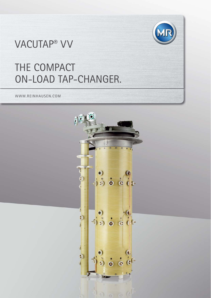

WWW.REINHAUSEN.COM

VACUTAP® VV



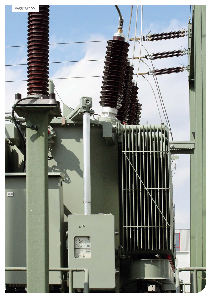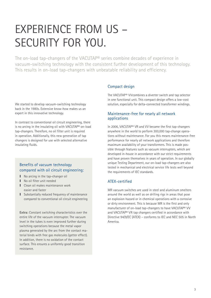## EXPERIENCE FROM US – SECURITY FOR YOU.

The on-load tap-changers of the VACUTAP® series combine decades of experience in vacuum-switching technology with the consistent further development of this technology. This results in on-load tap-changers with unbeatable reliability and efficiency.

We started to develop vacuum-switching technology back in the 1980s. Extensive know-how makes us an expert in this innovative technology.

In contrast to conventional oil circuit engineering, there is no arcing in the insulating oil with VACUTAP® on-load tap-changers. Therefore, no oil filter unit is required in operation. Additionally, this new generation of tap changers is designed for use with selected alternative insulating fluids.

#### Benefits of vacuum technology compared with oil circuit engineering:

- I No arcing in the tap-changer oil
- I No oil filter unit needed
- I Clean oil makes maintenance work easier and faster
- I Substantially reduced frequency of maintenance compared to conventional oil circuit engineering

**Extra:** Constant switching characteristics over the entire life of the vacuum interrupter. The vacuum level in the tubes is even improved further during switching operations because the metal vapor plasma generated by the arc from the contact material binds with free gas molecules (getter effect). In addition, there is no oxidation of the contact surface. This ensures a uniformly good transition resistance.

#### Compact design

The VACUTAP® VVcombines a diverter switch and tap selector in one functional unit. This compact design offers a low-cost solution, especially for delta-connected transformer windings.

#### Maintenance-free for nearly all network applications

In 2006, VACUTAP® VR and VV became the first tap-changers anywhere in the world to perform 300,000 tap-change operations without maintenance. For you this means maintenance-free performance for nearly all network applications and therefore maximum availability of your transformers. This is made possible through features such as vacuum interrupters, which are developed in-house in accordance with our strict requirements and have proven themselves in years of operation. In our globally unique Testing Department, our on-load tap-changers are also tested in mechanical and electrical service life tests well beyond the requirements of IEC standards.

#### ATEX-certified

MR vacuum switches are used in steel and aluminum smelters around the world as well as on drilling rigs in areas that pose an explosion hazard or in chemical operations with a corrosive or dirty environment. This is because MR is the first and only manufacturer of on-load tap-changers to have VACUTAP® VV and VACUTAP® VR tap changers certified in accordance with Directive 94/9/EC (ATEX) – conforms to IEC and NEC 505 in North America.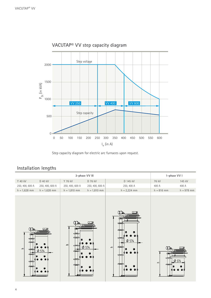

**VACUTAP® VV step capacity diagram**



### **Installation lengths**

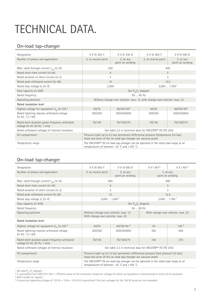# TECHNICAL DATA.

### **On-load tap-changer**

| Designation                                                                     | V V III 250 Y                                                                                                                                       | V V III 250 D                   | V V III 400 Y       | V V III 400 D                   |
|---------------------------------------------------------------------------------|-----------------------------------------------------------------------------------------------------------------------------------------------------|---------------------------------|---------------------|---------------------------------|
| Number of phases and application                                                | 3; at neutral point                                                                                                                                 | $3;$ at any<br>point on winding | 3; at neutral point | $3;$ at any<br>point on winding |
| Max. rated through-current $I_{\text{um}}$ (in A)                               | 250<br>400                                                                                                                                          |                                 |                     |                                 |
| Rated short-time current (in kA)                                                | $\overline{4}$                                                                                                                                      |                                 | 5                   |                                 |
| Rated duration of short-circuits (in s)                                         | 3                                                                                                                                                   |                                 | 3                   |                                 |
| Rated peak withstand current (in kA)                                            | 10                                                                                                                                                  |                                 | 12.5                |                                 |
| Rated step voltage $U_i$ (in V)                                                 | $2,0001,700$ <sup>1</sup><br>2,000                                                                                                                  |                                 |                     |                                 |
| Step capacity (in kVA)                                                          | See $P_{S_f}/I_{\mu}$ diagram                                                                                                                       |                                 |                     |                                 |
| Rated frequency                                                                 | $5060$ Hz                                                                                                                                           |                                 |                     |                                 |
| Operating positions                                                             | Without change-over selector: max. 12, with change-over selector: max. 23                                                                           |                                 |                     |                                 |
| Rated insulation level                                                          |                                                                                                                                                     |                                 |                     |                                 |
| Highest voltage for equipment $U_m$ (in kV) <sup>2</sup>                        | 40/76                                                                                                                                               | 40/76/1454                      | 40/76               | 40/76/145 <sup>4</sup>          |
| Rated lightning impulse withstand voltage<br>(in kV, 1.2   50)                  | 200/350                                                                                                                                             | 200/350/650                     | 200/350             | 200/350/650                     |
| Rated short-duration power frequency withstand<br>voltage (in kV, 50 Hz, 1 min) | 70/140                                                                                                                                              | 70/140/275                      | 70/140              | 70/140/275                      |
| Rated withstand voltages of internal insulation                                 | See table 2.3 in technical data for VACUTAP® W (TD 203)                                                                                             |                                 |                     |                                 |
| Oil compartment                                                                 | Pressure-tight up to 0.3 bar permanent differential pressure (testpressure 0.6 bar),<br>head and cover of the on-load tap-changer are vacuum-proof. |                                 |                     |                                 |
| Temperature range                                                               | The VACUTAP® W on-load tap-changer can be operated in the rated load range at oil<br>temperatures of between -25 °C and +105 °C.                    |                                 |                     |                                 |

### **On-load tap-changer**

| Designation                                                                     | V V III 600 Y                                                                                                                                        | V V III 600 D                 | V V 1 401 <sup>3</sup>             | V V I 4013                |  |
|---------------------------------------------------------------------------------|------------------------------------------------------------------------------------------------------------------------------------------------------|-------------------------------|------------------------------------|---------------------------|--|
| Number of phases and application                                                | 3; at neutral point                                                                                                                                  | 3; at any<br>point on winding | $1$ ; at any<br>point on winding   |                           |  |
| Max. rated through-current $I_{um}$ (in A)                                      |                                                                                                                                                      | 600                           |                                    | 400                       |  |
| Rated short-time current (in kA)                                                |                                                                                                                                                      | 6                             | 5                                  |                           |  |
| Rated duration of short-circuits (in s)                                         | 3                                                                                                                                                    |                               | 3                                  |                           |  |
| Rated peak withstand current (in kA)                                            | 15                                                                                                                                                   |                               | 12.5                               |                           |  |
| Rated step voltage $U_i$ (in V)                                                 | $2,0001,000$ <sup>1</sup>                                                                                                                            |                               |                                    | $2,0001,700$ <sup>1</sup> |  |
| Step capacity (in kVA)                                                          | See $P_{S_f}/I_{\mu}$ diagram                                                                                                                        |                               |                                    |                           |  |
| Rated frequency                                                                 | $5060$ Hz                                                                                                                                            |                               |                                    |                           |  |
| Operating positions                                                             | Without change-over selector: max. 12<br>With change-over selector: max. 23                                                                          |                               | With change-over selector: max. 23 |                           |  |
| Rated insulation level                                                          |                                                                                                                                                      |                               |                                    |                           |  |
| Highest voltage for equipment $U_m$ (in kV) $^2$                                | 40/76                                                                                                                                                | 40/76/145 <sup>4</sup>        | 76                                 | 145 <sup>4</sup>          |  |
| Rated lightning impulse withstand voltage<br>(in kV, 1.2   50)                  | 200/350                                                                                                                                              | 200/350/650                   | 350                                | 650                       |  |
| Rated short-duration power frequency withstand<br>voltage (in kV, 50 Hz, 1 min) | 70/140                                                                                                                                               | 70/140/275                    | 140                                | 275                       |  |
| Rated withstand voltages of internal insulation                                 | See table 2.3 in technical data for VACUTAP® W (TD 203)                                                                                              |                               |                                    |                           |  |
| Oil compartment                                                                 | Pressure-tight up to 0.3 bar permanent differential pressure (test pressure 0.6 bar),<br>head and cover of the on-load tap-changer are vacuum-proof. |                               |                                    |                           |  |
| Temperature range                                                               | The VACUTAP® W on-load tap-changer can be operated in the rated load range at oil<br>temperatures of between -25 °C and +105 °C.                     |                               |                                    |                           |  |

<sup>1</sup> See also P<sub>St</sub>-/I<sub>u</sub> diagram<br><sup>2</sup> In accordance with VDE 0111, Part 1: Effective value of the conductor-conductor voltage for which an equipment is dimensioned in terms of its insulation.

<sup>3</sup> 600 A model on request

 $^4$  A maximum operating voltage of 132 kV + 15 % = 151.8 kV is permitted if the test voltages for the 145 kV series are not exceeded.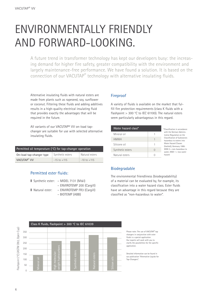## ENVIRONMENTALLY FRIENDLY AND FORWARD-LOOKING.

A future trend in transformer technology has kept our developers busy: the increasing demand for higher fire safety, greater compatibility with the environment and largely maintenance-free performance. We have found a solution. It is based on the connection of our VACUTAP® technology with alternative insulating fluids.

Alternative insulating fluids with natural esters are made from plants such as rapeseed, soy, sunflower or coconut. Filtering these fluids and adding additives results in a high-quality electrical insulating fluid that provides exactly the advantages that will be required in the future.

All variants of our VACUTAP® VV on-load tapchanger are suitable for use with selected alternative insulating fluids.

| Permitted oil temperature (°C) for tap-changer operation |                  |                 |  |
|----------------------------------------------------------|------------------|-----------------|--|
| On-load tap-changer type                                 | Synthetic esters | Natural esters  |  |
| VACUTAP <sup>®</sup> VV                                  | $-15$ to $+115$  | $-10$ to $+115$ |  |

#### Permitted ester fluids:

- I Synthetic ester: MIDEL 7131 (M&I)
- 
- ENVIROTEMP 200 (Cargill) I Natural ester: – ENVIROTEMP FR3 (Cargill) – BIOTEMP (ABB)

#### Fireproof

A variety of fluids is available on the market that fulfill fire protection requirements (class K fluids with a flashpoint  $> 300$  °C to IEC 61100). The natural esters seem particularly advantageous in this regard.

| Water hazard class* |   |  |  |  |
|---------------------|---|--|--|--|
| Mineral oil         |   |  |  |  |
| <b>HMWH</b>         |   |  |  |  |
| Silicone oil        | 1 |  |  |  |
| Synthetic esters    |   |  |  |  |
| Natural esters      |   |  |  |  |

\*Classification in accordance with the German Administrative Regulation on the Classification of Substances hazardous to waters into Water Hazard Classes (VwVwS), Germany 1999: WGK 0 = non-hazardous to water, WGK 1 = low water hazard

### Biodegradable

The environmental friendliness (biodegradability) of a material can be evaluated by, for example, its classification into a water hazard class. Ester fluids have an advantage in this regard because they are classified as "non-hazardous to water".

| Class K fluids, flashpoint > 300 °C to IEC 61039<br>Open Cup) |   |         |                                                         |                     |                   |
|---------------------------------------------------------------|---|---------|---------------------------------------------------------|---------------------|-------------------|
| 350                                                           |   |         |                                                         |                     |                   |
| 300                                                           |   |         |                                                         |                     |                   |
| 250                                                           |   |         |                                                         |                     |                   |
| 200                                                           |   |         |                                                         |                     |                   |
| 150                                                           |   |         |                                                         |                     |                   |
| 100                                                           | 亏 |         |                                                         |                     | $\frac{1}{2}$     |
| 50                                                            |   |         |                                                         |                     | Silicon           |
|                                                               |   | Mineral | hydrocarbons<br>olecular-<br>Ē<br>weight<br><b>High</b> | esters<br>Synthetic | esters<br>Natural |

Please note: The use of VACUTAP<sup>®</sup> tap changers in conjunction with ester fluids is a special application. Our experts will work with you to clarify the possibilities for the specific application.

Detailed information can be found in our publication "Alternative Liquids for Tap-Changers".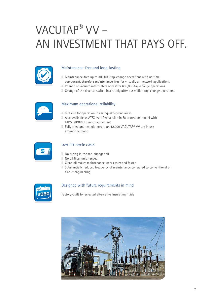# VACUTAP® VV – AN INVESTMENT THAT PAYS OFF.



#### Maintenance-free and long-lasting

- I Maintenance-free up to 300,000 tap-change operations with no time component, therefore maintenance-free for virtually all network applications
- I Change of vacuum interrupters only after 600,000 tap-change operations
- I Change of the diverter switch insert only after 1.2 million tap-change operations



#### Maximum operational reliability

- I Suitable for operation in earthquake-prone areas
- I Also available as ATEX-certified version in Ex protection model with TAPMOTION® ED motor-drive unit
- Fully tried and tested: more than 12,000 VACUTAP® VV are in use around the globe



#### Low life-cycle costs

- I No arcing in the tap-changer oil
- I No oil filter unit needed
- I Clean oil makes maintenance work easier and faster
- I Substantially reduced frequency of maintenance compared to conventional oil circuit engineering



#### Designed with future requirements in mind

Factory-built for selected alternative insulating fluids